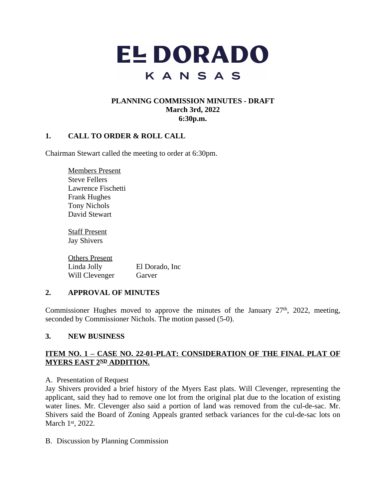

# **PLANNING COMMISSION MINUTES - DRAFT March 3rd, 2022 6:30p.m.**

# **1. CALL TO ORDER & ROLL CALL**

Chairman Stewart called the meeting to order at 6:30pm.

Members Present Steve Fellers Lawrence Fischetti Frank Hughes Tony Nichols David Stewart

Staff Present Jay Shivers

Others Present Linda Jolly El Dorado, Inc Will Clevenger Garver

### **2. APPROVAL OF MINUTES**

Commissioner Hughes moved to approve the minutes of the January  $27<sup>th</sup>$ ,  $2022$ , meeting, seconded by Commissioner Nichols. The motion passed (5-0).

### **3. NEW BUSINESS**

## **ITEM NO. 1 – CASE NO. 22-01-PLAT: CONSIDERATION OF THE FINAL PLAT OF MYERS EAST 2ND ADDITION.**

### A. Presentation of Request

Jay Shivers provided a brief history of the Myers East plats. Will Clevenger, representing the applicant, said they had to remove one lot from the original plat due to the location of existing water lines. Mr. Clevenger also said a portion of land was removed from the cul-de-sac. Mr. Shivers said the Board of Zoning Appeals granted setback variances for the cul-de-sac lots on March 1st, 2022.

B. Discussion by Planning Commission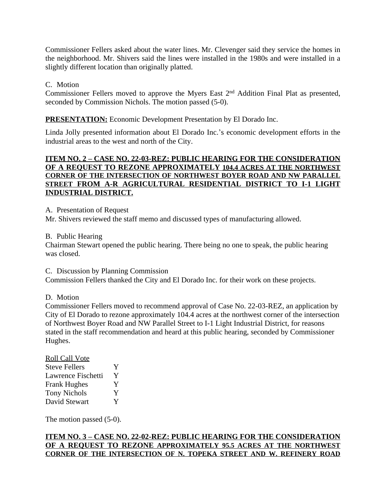Commissioner Fellers asked about the water lines. Mr. Clevenger said they service the homes in the neighborhood. Mr. Shivers said the lines were installed in the 1980s and were installed in a slightly different location than originally platted.

# C. Motion

Commissioner Fellers moved to approve the Myers East 2<sup>nd</sup> Addition Final Plat as presented, seconded by Commission Nichols. The motion passed (5-0).

**PRESENTATION:** Economic Development Presentation by El Dorado Inc.

Linda Jolly presented information about El Dorado Inc.'s economic development efforts in the industrial areas to the west and north of the City.

## **ITEM NO. 2 – CASE NO. 22-03-REZ: PUBLIC HEARING FOR THE CONSIDERATION OF A REQUEST TO REZONE APPROXIMATELY 104.4 ACRES AT THE NORTHWEST CORNER OF THE INTERSECTION OF NORTHWEST BOYER ROAD AND NW PARALLEL STREET FROM A-R AGRICULTURAL RESIDENTIAL DISTRICT TO I-1 LIGHT INDUSTRIAL DISTRICT.**

A. Presentation of Request

Mr. Shivers reviewed the staff memo and discussed types of manufacturing allowed.

B. Public Hearing

Chairman Stewart opened the public hearing. There being no one to speak, the public hearing was closed.

C. Discussion by Planning Commission

Commission Fellers thanked the City and El Dorado Inc. for their work on these projects.

D. Motion

Commissioner Fellers moved to recommend approval of Case No. 22-03-REZ, an application by City of El Dorado to rezone approximately 104.4 acres at the northwest corner of the intersection of Northwest Boyer Road and NW Parallel Street to I-1 Light Industrial District, for reasons stated in the staff recommendation and heard at this public hearing, seconded by Commissioner Hughes.

| <b>Roll Call Vote</b> |   |
|-----------------------|---|
| <b>Steve Fellers</b>  | Y |
| Lawrence Fischetti    | Y |
| <b>Frank Hughes</b>   | Y |
| <b>Tony Nichols</b>   | Y |
| David Stewart         | Y |

The motion passed (5-0).

# **ITEM NO. 3 – CASE NO. 22-02-REZ: PUBLIC HEARING FOR THE CONSIDERATION OF A REQUEST TO REZONE APPROXIMATELY 95.5 ACRES AT THE NORTHWEST CORNER OF THE INTERSECTION OF N. TOPEKA STREET AND W. REFINERY ROAD**